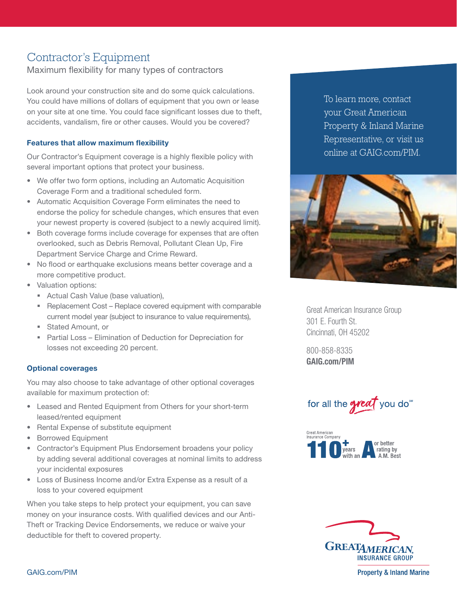# Contractor's Equipment

Maximum flexibility for many types of contractors

Look around your construction site and do some quick calculations. You could have millions of dollars of equipment that you own or lease on your site at one time. You could face significant losses due to theft, accidents, vandalism, fire or other causes. Would you be covered?

## Features that allow maximum flexibility

Our Contractor's Equipment coverage is a highly flexible policy with several important options that protect your business.

- We offer two form options, including an Automatic Acquisition Coverage Form and a traditional scheduled form.
- Automatic Acquisition Coverage Form eliminates the need to endorse the policy for schedule changes, which ensures that even your newest property is covered (subject to a newly acquired limit).
- Both coverage forms include coverage for expenses that are often overlooked, such as Debris Removal, Pollutant Clean Up, Fire Department Service Charge and Crime Reward.
- No flood or earthquake exclusions means better coverage and a more competitive product.
- Valuation options:
	- Actual Cash Value (base valuation),
	- Replacement Cost Replace covered equipment with comparable current model year (subject to insurance to value requirements),
	- **Stated Amount, or**
	- Partial Loss Elimination of Deduction for Depreciation for losses not exceeding 20 percent.

### Optional coverages

You may also choose to take advantage of other optional coverages available for maximum protection of:

- Leased and Rented Equipment from Others for your short-term leased/rented equipment
- Rental Expense of substitute equipment
- Borrowed Equipment
- Contractor's Equipment Plus Endorsement broadens your policy by adding several additional coverages at nominal limits to address your incidental exposures
- Loss of Business Income and/or Extra Expense as a result of a loss to your covered equipment

When you take steps to help protect your equipment, you can save money on your insurance costs. With qualified devices and our Anti-Theft or Tracking Device Endorsements, we reduce or waive your deductible for theft to covered property.

To learn more, contact your Great American Property & Inland Marine Representative, or visit us online at GAIG.com/PIM.



Great American Insurance Group 301 E. Fourth St. Cincinnati, OH 45202

800-858-8335 [GAIG.com/PIM](http://GAIG.com/PIM)







**Property & Inland Marine** 

GAIG.com/PIM